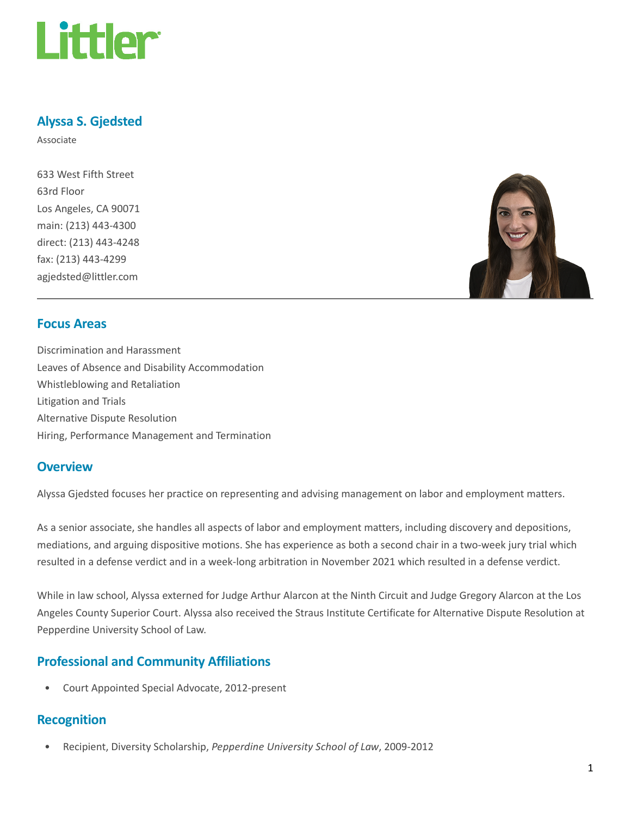

## Alyssa S. Gjedsted

Associate

633 West Fifth Street 63rd Floor Los Angeles, CA 90071 main: (213) 443-4300 direct: (213) 443-4248 fax: (213) 443-4299 agjedsted@littler.com



#### Focus Areas

Discrimination and Harassment Leaves of Absence and Disability Accommodation Whistleblowing and Retaliation Litigation and Trials Alternative Dispute Resolution Hiring, Performance Management and Termination

#### **Overview**

Alyssa Gjedsted focuses her practice on representing and advising management on labor and employment matters.

As a senior associate, she handles all aspects of labor and employment matters, including discovery and depositions, mediations, and arguing dispositive motions. She has experience as both a second chair in a two-week jury trial which resulted in a defense verdict and in a week-long arbitration in November 2021 which resulted in a defense verdict.

While in law school, Alyssa externed for Judge Arthur Alarcon at the Ninth Circuit and Judge Gregory Alarcon at the Los Angeles County Superior Court. Alyssa also received the Straus Institute Certificate for Alternative Dispute Resolution at Pepperdine University School of Law.

## Professional and Community Affiliations

• Court Appointed Special Advocate, 2012-present

#### Recognition

• Recipient, Diversity Scholarship, Pepperdine University School of Law, 2009-2012